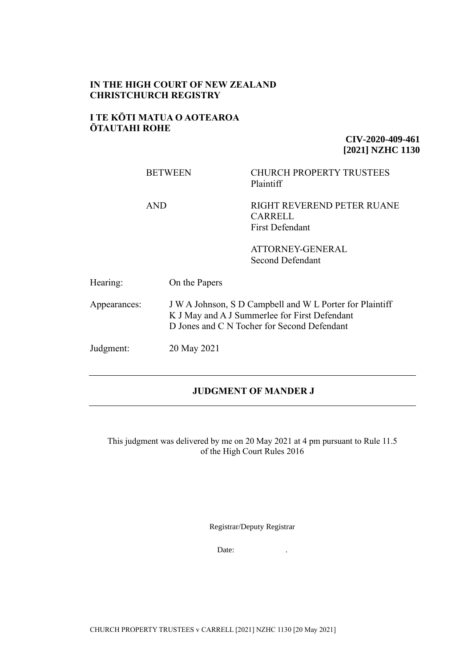## **IN THE HIGH COURT OF NEW ZEALAND CHRISTCHURCH REGISTRY**

## **I TE KŌTI MATUA O AOTEAROA ŌTAUTAHI ROHE**

**CIV-2020-409-461 [2021] NZHC 1130**

|              | <b>BETWEEN</b> | <b>CHURCH PROPERTY TRUSTEES</b><br>Plaintiff                                                                                                             |  |
|--------------|----------------|----------------------------------------------------------------------------------------------------------------------------------------------------------|--|
|              | <b>AND</b>     | RIGHT REVEREND PETER RUANE<br><b>CARRELL</b><br>First Defendant                                                                                          |  |
|              |                | ATTORNEY-GENERAL<br>Second Defendant                                                                                                                     |  |
| Hearing:     | On the Papers  |                                                                                                                                                          |  |
| Appearances: |                | J W A Johnson, S D Campbell and W L Porter for Plaintiff<br>K J May and A J Summerlee for First Defendant<br>D Jones and C N Tocher for Second Defendant |  |
| Judgment:    | 20 May 2021    |                                                                                                                                                          |  |

## **JUDGMENT OF MANDER J**

This judgment was delivered by me on 20 May 2021 at 4 pm pursuant to Rule 11.5 of the High Court Rules 2016

Registrar/Deputy Registrar

Date: The contract of the contract of the contract of the contract of the contract of the contract of the contract of the contract of the contract of the contract of the contract of the contract of the contract of the cont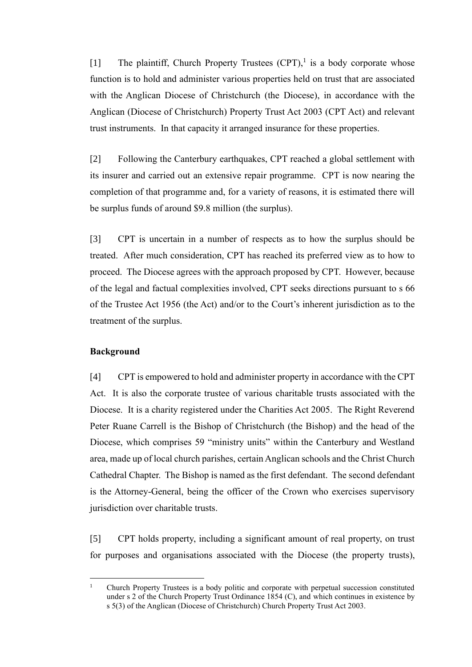[1] The plaintiff, Church Property Trustees  $(CPT)$ ,<sup>1</sup> is a body corporate whose function is to hold and administer various properties held on trust that are associated with the Anglican Diocese of Christchurch (the Diocese), in accordance with the Anglican (Diocese of Christchurch) Property Trust Act 2003 (CPT Act) and relevant trust instruments. In that capacity it arranged insurance for these properties.

[2] Following the Canterbury earthquakes, CPT reached a global settlement with its insurer and carried out an extensive repair programme. CPT is now nearing the completion of that programme and, for a variety of reasons, it is estimated there will be surplus funds of around \$9.8 million (the surplus).

[3] CPT is uncertain in a number of respects as to how the surplus should be treated. After much consideration, CPT has reached its preferred view as to how to proceed. The Diocese agrees with the approach proposed by CPT. However, because of the legal and factual complexities involved, CPT seeks directions pursuant to s 66 of the Trustee Act 1956 (the Act) and/or to the Court's inherent jurisdiction as to the treatment of the surplus.

#### **Background**

[4] CPT is empowered to hold and administer property in accordance with the CPT Act. It is also the corporate trustee of various charitable trusts associated with the Diocese. It is a charity registered under the Charities Act 2005. The Right Reverend Peter Ruane Carrell is the Bishop of Christchurch (the Bishop) and the head of the Diocese, which comprises 59 "ministry units" within the Canterbury and Westland area, made up of local church parishes, certain Anglican schools and the Christ Church Cathedral Chapter. The Bishop is named as the first defendant. The second defendant is the Attorney-General, being the officer of the Crown who exercises supervisory jurisdiction over charitable trusts.

[5] CPT holds property, including a significant amount of real property, on trust for purposes and organisations associated with the Diocese (the property trusts),

<sup>&</sup>lt;sup>1</sup> Church Property Trustees is a body politic and corporate with perpetual succession constituted under s 2 of the Church Property Trust Ordinance 1854 (C), and which continues in existence by s 5(3) of the Anglican (Diocese of Christchurch) Church Property Trust Act 2003.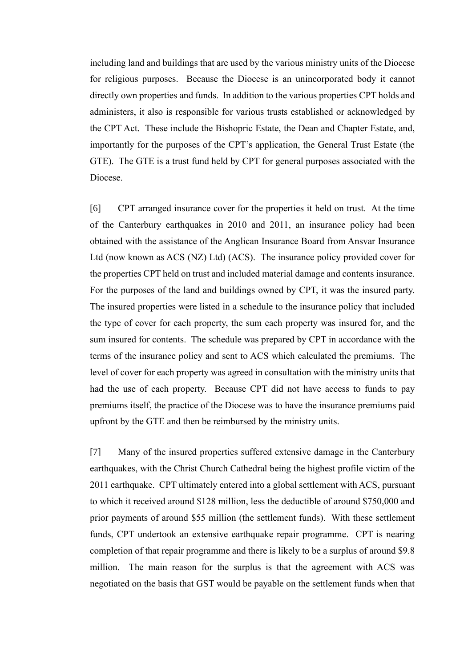including land and buildings that are used by the various ministry units of the Diocese for religious purposes. Because the Diocese is an unincorporated body it cannot directly own properties and funds. In addition to the various properties CPT holds and administers, it also is responsible for various trusts established or acknowledged by the CPT Act. These include the Bishopric Estate, the Dean and Chapter Estate, and, importantly for the purposes of the CPT's application, the General Trust Estate (the GTE). The GTE is a trust fund held by CPT for general purposes associated with the Diocese.

[6] CPT arranged insurance cover for the properties it held on trust. At the time of the Canterbury earthquakes in 2010 and 2011, an insurance policy had been obtained with the assistance of the Anglican Insurance Board from Ansvar Insurance Ltd (now known as ACS (NZ) Ltd) (ACS). The insurance policy provided cover for the properties CPT held on trust and included material damage and contents insurance. For the purposes of the land and buildings owned by CPT, it was the insured party. The insured properties were listed in a schedule to the insurance policy that included the type of cover for each property, the sum each property was insured for, and the sum insured for contents. The schedule was prepared by CPT in accordance with the terms of the insurance policy and sent to ACS which calculated the premiums. The level of cover for each property was agreed in consultation with the ministry units that had the use of each property. Because CPT did not have access to funds to pay premiums itself, the practice of the Diocese was to have the insurance premiums paid upfront by the GTE and then be reimbursed by the ministry units.

[7] Many of the insured properties suffered extensive damage in the Canterbury earthquakes, with the Christ Church Cathedral being the highest profile victim of the 2011 earthquake. CPT ultimately entered into a global settlement with ACS, pursuant to which it received around \$128 million, less the deductible of around \$750,000 and prior payments of around \$55 million (the settlement funds). With these settlement funds, CPT undertook an extensive earthquake repair programme. CPT is nearing completion of that repair programme and there is likely to be a surplus of around \$9.8 million. The main reason for the surplus is that the agreement with ACS was negotiated on the basis that GST would be payable on the settlement funds when that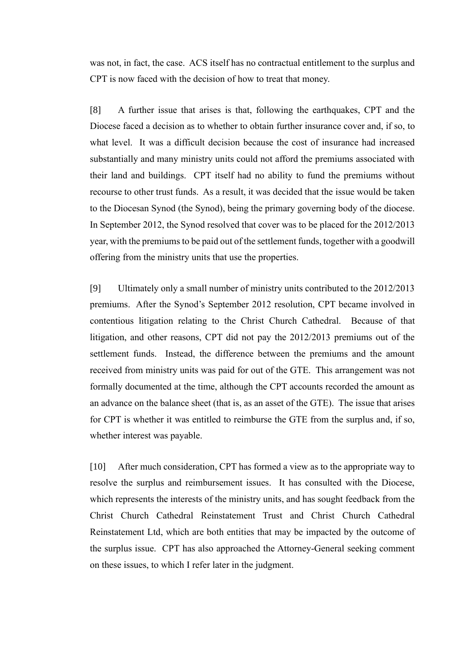was not, in fact, the case. ACS itself has no contractual entitlement to the surplus and CPT is now faced with the decision of how to treat that money.

[8] A further issue that arises is that, following the earthquakes, CPT and the Diocese faced a decision as to whether to obtain further insurance cover and, if so, to what level. It was a difficult decision because the cost of insurance had increased substantially and many ministry units could not afford the premiums associated with their land and buildings. CPT itself had no ability to fund the premiums without recourse to other trust funds. As a result, it was decided that the issue would be taken to the Diocesan Synod (the Synod), being the primary governing body of the diocese. In September 2012, the Synod resolved that cover was to be placed for the 2012/2013 year, with the premiums to be paid out of the settlement funds, together with a goodwill offering from the ministry units that use the properties.

[9] Ultimately only a small number of ministry units contributed to the 2012/2013 premiums. After the Synod's September 2012 resolution, CPT became involved in contentious litigation relating to the Christ Church Cathedral. Because of that litigation, and other reasons, CPT did not pay the 2012/2013 premiums out of the settlement funds. Instead, the difference between the premiums and the amount received from ministry units was paid for out of the GTE. This arrangement was not formally documented at the time, although the CPT accounts recorded the amount as an advance on the balance sheet (that is, as an asset of the GTE). The issue that arises for CPT is whether it was entitled to reimburse the GTE from the surplus and, if so, whether interest was payable.

[10] After much consideration, CPT has formed a view as to the appropriate way to resolve the surplus and reimbursement issues. It has consulted with the Diocese, which represents the interests of the ministry units, and has sought feedback from the Christ Church Cathedral Reinstatement Trust and Christ Church Cathedral Reinstatement Ltd, which are both entities that may be impacted by the outcome of the surplus issue. CPT has also approached the Attorney-General seeking comment on these issues, to which I refer later in the judgment.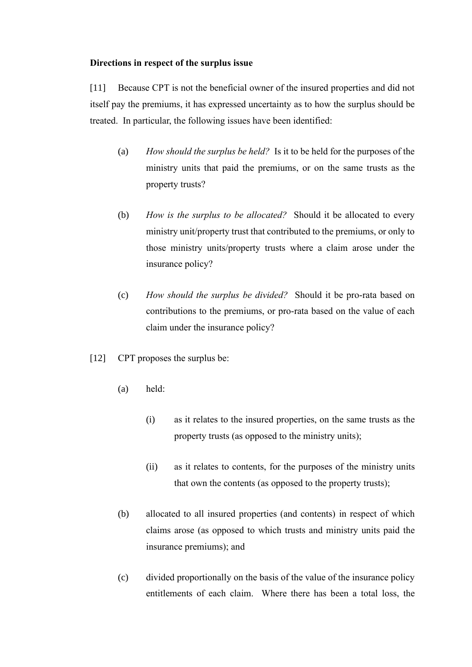## **Directions in respect of the surplus issue**

[11] Because CPT is not the beneficial owner of the insured properties and did not itself pay the premiums, it has expressed uncertainty as to how the surplus should be treated. In particular, the following issues have been identified:

- (a) *How should the surplus be held?* Is it to be held for the purposes of the ministry units that paid the premiums, or on the same trusts as the property trusts?
- (b) *How is the surplus to be allocated?* Should it be allocated to every ministry unit/property trust that contributed to the premiums, or only to those ministry units/property trusts where a claim arose under the insurance policy?
- (c) *How should the surplus be divided?* Should it be pro-rata based on contributions to the premiums, or pro-rata based on the value of each claim under the insurance policy?
- [12] CPT proposes the surplus be:
	- (a) held:
		- (i) as it relates to the insured properties, on the same trusts as the property trusts (as opposed to the ministry units);
		- (ii) as it relates to contents, for the purposes of the ministry units that own the contents (as opposed to the property trusts);
	- (b) allocated to all insured properties (and contents) in respect of which claims arose (as opposed to which trusts and ministry units paid the insurance premiums); and
	- (c) divided proportionally on the basis of the value of the insurance policy entitlements of each claim. Where there has been a total loss, the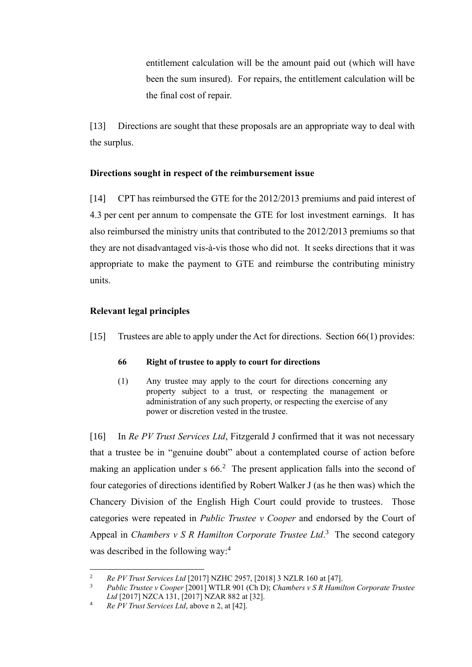entitlement calculation will be the amount paid out (which will have been the sum insured). For repairs, the entitlement calculation will be the final cost of repair.

[13] Directions are sought that these proposals are an appropriate way to deal with the surplus.

# **Directions sought in respect of the reimbursement issue**

[14] CPT has reimbursed the GTE for the 2012/2013 premiums and paid interest of 4.3 per cent per annum to compensate the GTE for lost investment earnings. It has also reimbursed the ministry units that contributed to the 2012/2013 premiums so that they are not disadvantaged vis-à-vis those who did not. It seeks directions that it was appropriate to make the payment to GTE and reimburse the contributing ministry units.

# **Relevant legal principles**

[15] Trustees are able to apply under the Act for directions. Section 66(1) provides:

## **66 Right of trustee to apply to court for directions**

<span id="page-5-0"></span>(1) Any trustee may apply to the court for directions concerning any property subject to a trust, or respecting the management or administration of any such property, or respecting the exercise of any power or discretion vested in the trustee.

[16] In *Re PV Trust Services Ltd*, Fitzgerald J confirmed that it was not necessary that a trustee be in "genuine doubt" about a contemplated course of action before making an application under s  $66<sup>2</sup>$  The present application falls into the second of four categories of directions identified by Robert Walker J (as he then was) which the Chancery Division of the English High Court could provide to trustees. Those categories were repeated in *Public Trustee v Cooper* and endorsed by the Court of Appeal in *Chambers v S R Hamilton Corporate Trustee Ltd*. 3 The second category was described in the following way: 4

<span id="page-5-1"></span><sup>2</sup> *Re PV Trust Services Ltd* [2017] NZHC 2957, [2018] 3 NZLR 160 at [47].

<sup>3</sup> *Public Trustee v Cooper* [2001] WTLR 901 (Ch D); *Chambers v S R Hamilton Corporate Trustee Ltd* [2017] NZCA 131, [2017] NZAR 882 at [32].

<sup>4</sup> *Re PV Trust Services Ltd*, above n [2,](#page-5-0) at [42].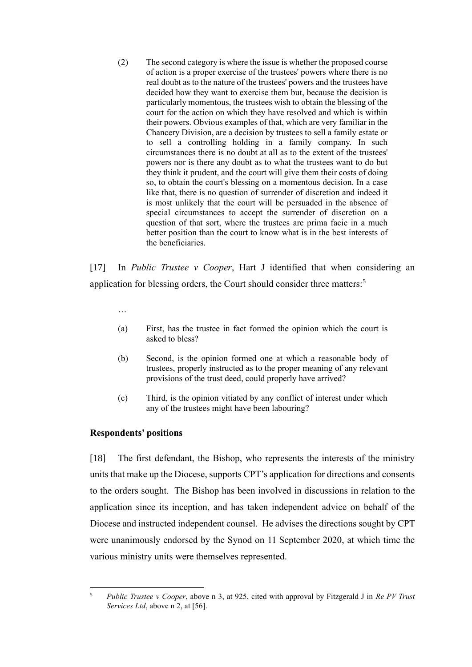(2) The second category is where the issue is whether the proposed course of action is a proper exercise of the trustees' powers where there is no real doubt as to the nature of the trustees' powers and the trustees have decided how they want to exercise them but, because the decision is particularly momentous, the trustees wish to obtain the blessing of the court for the action on which they have resolved and which is within their powers. Obvious examples of that, which are very familiar in the Chancery Division, are a decision by trustees to sell a family estate or to sell a controlling holding in a family company. In such circumstances there is no doubt at all as to the extent of the trustees' powers nor is there any doubt as to what the trustees want to do but they think it prudent, and the court will give them their costs of doing so, to obtain the court's blessing on a momentous decision. In a case like that, there is no question of surrender of discretion and indeed it is most unlikely that the court will be persuaded in the absence of special circumstances to accept the surrender of discretion on a question of that sort, where the trustees are prima facie in a much better position than the court to know what is in the best interests of the beneficiaries.

[17] In *Public Trustee v Cooper*, Hart J identified that when considering an application for blessing orders, the Court should consider three matters:<sup>5</sup>

…

- (a) First, has the trustee in fact formed the opinion which the court is asked to bless?
- (b) Second, is the opinion formed one at which a reasonable body of trustees, properly instructed as to the proper meaning of any relevant provisions of the trust deed, could properly have arrived?
- (c) Third, is the opinion vitiated by any conflict of interest under which any of the trustees might have been labouring?

#### **Respondents' positions**

[18] The first defendant, the Bishop, who represents the interests of the ministry units that make up the Diocese, supports CPT's application for directions and consents to the orders sought. The Bishop has been involved in discussions in relation to the application since its inception, and has taken independent advice on behalf of the Diocese and instructed independent counsel. He advises the directions sought by CPT were unanimously endorsed by the Synod on 11 September 2020, at which time the various ministry units were themselves represented.

<sup>5</sup> *Public Trustee v Cooper*, above n [3,](#page-5-1) at 925, cited with approval by Fitzgerald J in *Re PV Trust Services Ltd*, above [n 2,](#page-5-0) at [56].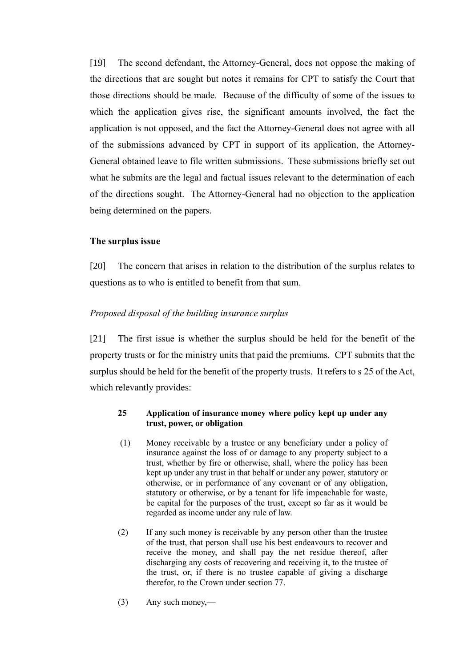[19] The second defendant, the Attorney-General, does not oppose the making of the directions that are sought but notes it remains for CPT to satisfy the Court that those directions should be made. Because of the difficulty of some of the issues to which the application gives rise, the significant amounts involved, the fact the application is not opposed, and the fact the Attorney-General does not agree with all of the submissions advanced by CPT in support of its application, the Attorney-General obtained leave to file written submissions. These submissions briefly set out what he submits are the legal and factual issues relevant to the determination of each of the directions sought. The Attorney-General had no objection to the application being determined on the papers.

## **The surplus issue**

[20] The concern that arises in relation to the distribution of the surplus relates to questions as to who is entitled to benefit from that sum.

## *Proposed disposal of the building insurance surplus*

[21] The first issue is whether the surplus should be held for the benefit of the property trusts or for the ministry units that paid the premiums. CPT submits that the surplus should be held for the benefit of the property trusts. It refers to s 25 of the Act, which relevantly provides:

### **25 Application of insurance money where policy kept up under any trust, power, or obligation**

- (1) Money receivable by a trustee or any beneficiary under a policy of insurance against the loss of or damage to any property subject to a trust, whether by fire or otherwise, shall, where the policy has been kept up under any trust in that behalf or under any power, statutory or otherwise, or in performance of any covenant or of any obligation, statutory or otherwise, or by a tenant for life impeachable for waste, be capital for the purposes of the trust, except so far as it would be regarded as income under any rule of law.
- (2) If any such money is receivable by any person other than the trustee of the trust, that person shall use his best endeavours to recover and receive the money, and shall pay the net residue thereof, after discharging any costs of recovering and receiving it, to the trustee of the trust, or, if there is no trustee capable of giving a discharge therefor, to the Crown under section 77.
- (3) Any such money,—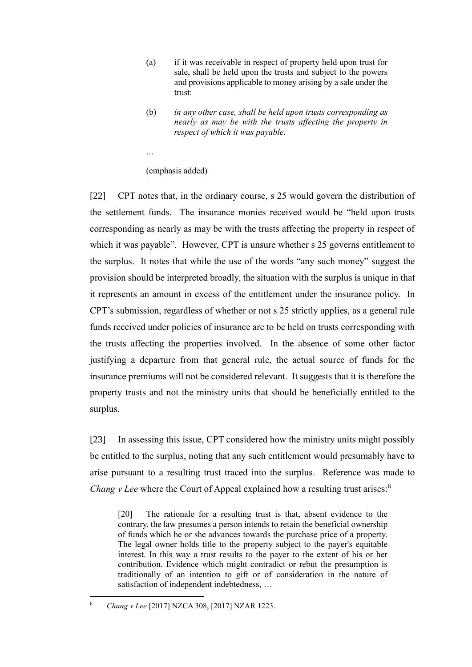- (a) if it was receivable in respect of property held upon trust for sale, shall be held upon the trusts and subject to the powers and provisions applicable to money arising by a sale under the trust:
- (b) *in any other case, shall be held upon trusts corresponding as nearly as may be with the trusts affecting the property in respect of which it was payable.*
- *…*

(emphasis added)

[22] CPT notes that, in the ordinary course, s 25 would govern the distribution of the settlement funds. The insurance monies received would be "held upon trusts corresponding as nearly as may be with the trusts affecting the property in respect of which it was payable". However, CPT is unsure whether s 25 governs entitlement to the surplus. It notes that while the use of the words "any such money" suggest the provision should be interpreted broadly, the situation with the surplus is unique in that it represents an amount in excess of the entitlement under the insurance policy. In CPT's submission, regardless of whether or not s 25 strictly applies, as a general rule funds received under policies of insurance are to be held on trusts corresponding with the trusts affecting the properties involved. In the absence of some other factor justifying a departure from that general rule, the actual source of funds for the insurance premiums will not be considered relevant. It suggests that it is therefore the property trusts and not the ministry units that should be beneficially entitled to the surplus.

[23] In assessing this issue, CPT considered how the ministry units might possibly be entitled to the surplus, noting that any such entitlement would presumably have to arise pursuant to a resulting trust traced into the surplus. Reference was made to *Chang v Lee* where the Court of Appeal explained how a resulting trust arises:<sup>6</sup>

[20] The rationale for a resulting trust is that, absent evidence to the contrary, the law presumes a person intends to retain the beneficial ownership of funds which he or she advances towards the purchase price of a property. The legal owner holds title to the property subject to the payer's equitable interest. In this way a trust results to the payer to the extent of his or her contribution. Evidence which might contradict or rebut the presumption is traditionally of an intention to gift or of consideration in the nature of satisfaction of independent indebtedness, …

<sup>6</sup> *Chang v Lee* [2017] NZCA 308, [2017] NZAR 1223.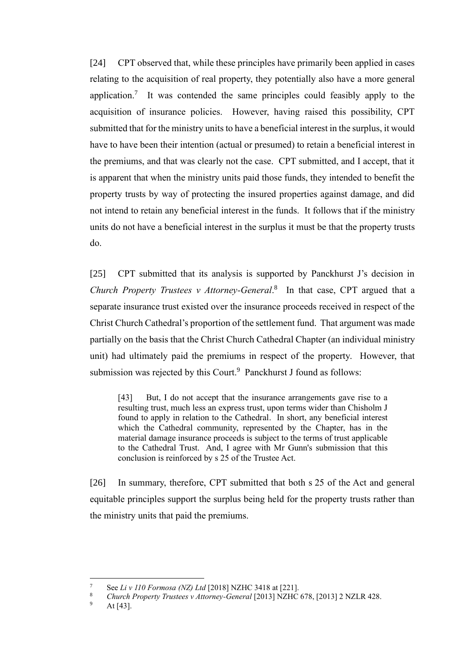[24] CPT observed that, while these principles have primarily been applied in cases relating to the acquisition of real property, they potentially also have a more general application.<sup>7</sup> It was contended the same principles could feasibly apply to the acquisition of insurance policies. However, having raised this possibility, CPT submitted that for the ministry units to have a beneficial interest in the surplus, it would have to have been their intention (actual or presumed) to retain a beneficial interest in the premiums, and that was clearly not the case. CPT submitted, and I accept, that it is apparent that when the ministry units paid those funds, they intended to benefit the property trusts by way of protecting the insured properties against damage, and did not intend to retain any beneficial interest in the funds. It follows that if the ministry units do not have a beneficial interest in the surplus it must be that the property trusts do.

[25] CPT submitted that its analysis is supported by Panckhurst J's decision in *Church Property Trustees v Attorney-General*. 8 In that case, CPT argued that a separate insurance trust existed over the insurance proceeds received in respect of the Christ Church Cathedral's proportion of the settlement fund. That argument was made partially on the basis that the Christ Church Cathedral Chapter (an individual ministry unit) had ultimately paid the premiums in respect of the property. However, that submission was rejected by this Court.<sup>9</sup> Panckhurst J found as follows:

[43] But, I do not accept that the insurance arrangements gave rise to a resulting trust, much less an express trust, upon terms wider than Chisholm J found to apply in relation to the Cathedral. In short, any beneficial interest which the Cathedral community, represented by the Chapter, has in the material damage insurance proceeds is subject to the terms of trust applicable to the Cathedral Trust. And, I agree with Mr Gunn's submission that this conclusion is reinforced by s 25 of the Trustee Act.

[26] In summary, therefore, CPT submitted that both s 25 of the Act and general equitable principles support the surplus being held for the property trusts rather than the ministry units that paid the premiums.

<sup>7</sup> See *Li v 110 Formosa (NZ) Ltd* [2018] NZHC 3418 at [221].

<sup>8</sup> *Church Property Trustees v Attorney-General* [2013] NZHC 678, [2013] 2 NZLR 428.

At  $[43]$ .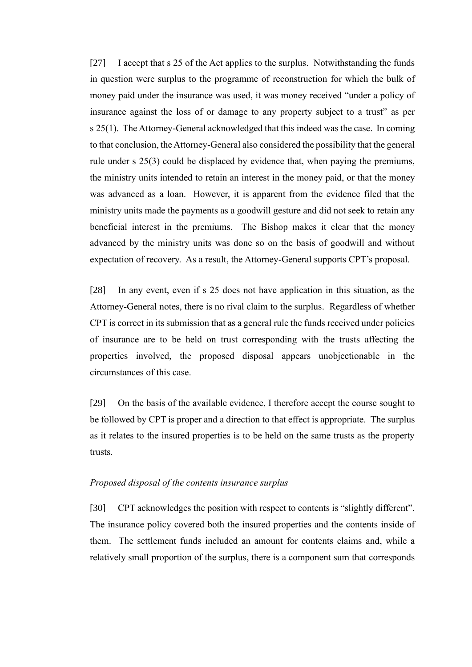[27] I accept that s 25 of the Act applies to the surplus. Notwithstanding the funds in question were surplus to the programme of reconstruction for which the bulk of money paid under the insurance was used, it was money received "under a policy of insurance against the loss of or damage to any property subject to a trust" as per s 25(1). The Attorney-General acknowledged that this indeed was the case. In coming to that conclusion, the Attorney-General also considered the possibility that the general rule under s 25(3) could be displaced by evidence that, when paying the premiums, the ministry units intended to retain an interest in the money paid, or that the money was advanced as a loan. However, it is apparent from the evidence filed that the ministry units made the payments as a goodwill gesture and did not seek to retain any beneficial interest in the premiums. The Bishop makes it clear that the money advanced by the ministry units was done so on the basis of goodwill and without expectation of recovery. As a result, the Attorney-General supports CPT's proposal.

[28] In any event, even if s 25 does not have application in this situation, as the Attorney-General notes, there is no rival claim to the surplus. Regardless of whether CPT is correct in its submission that as a general rule the funds received under policies of insurance are to be held on trust corresponding with the trusts affecting the properties involved, the proposed disposal appears unobjectionable in the circumstances of this case.

[29] On the basis of the available evidence, I therefore accept the course sought to be followed by CPT is proper and a direction to that effect is appropriate. The surplus as it relates to the insured properties is to be held on the same trusts as the property trusts.

#### *Proposed disposal of the contents insurance surplus*

[30] CPT acknowledges the position with respect to contents is "slightly different". The insurance policy covered both the insured properties and the contents inside of them. The settlement funds included an amount for contents claims and, while a relatively small proportion of the surplus, there is a component sum that corresponds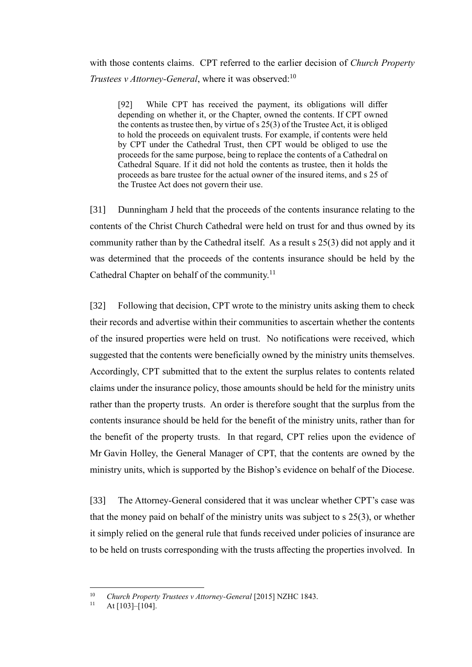with those contents claims. CPT referred to the earlier decision of *Church Property Trustees v Attorney-General*, where it was observed:<sup>10</sup>

[92] While CPT has received the payment, its obligations will differ depending on whether it, or the Chapter, owned the contents. If CPT owned the contents as trustee then, by virtue of s 25(3) of the Trustee Act, it is obliged to hold the proceeds on equivalent trusts. For example, if contents were held by CPT under the Cathedral Trust, then CPT would be obliged to use the proceeds for the same purpose, being to replace the contents of a Cathedral on Cathedral Square. If it did not hold the contents as trustee, then it holds the proceeds as bare trustee for the actual owner of the insured items, and s 25 of the Trustee Act does not govern their use.

[31] Dunningham J held that the proceeds of the contents insurance relating to the contents of the Christ Church Cathedral were held on trust for and thus owned by its community rather than by the Cathedral itself. As a result s 25(3) did not apply and it was determined that the proceeds of the contents insurance should be held by the Cathedral Chapter on behalf of the community.<sup>11</sup>

[32] Following that decision, CPT wrote to the ministry units asking them to check their records and advertise within their communities to ascertain whether the contents of the insured properties were held on trust. No notifications were received, which suggested that the contents were beneficially owned by the ministry units themselves. Accordingly, CPT submitted that to the extent the surplus relates to contents related claims under the insurance policy, those amounts should be held for the ministry units rather than the property trusts. An order is therefore sought that the surplus from the contents insurance should be held for the benefit of the ministry units, rather than for the benefit of the property trusts. In that regard, CPT relies upon the evidence of Mr Gavin Holley, the General Manager of CPT, that the contents are owned by the ministry units, which is supported by the Bishop's evidence on behalf of the Diocese.

[33] The Attorney-General considered that it was unclear whether CPT's case was that the money paid on behalf of the ministry units was subject to s 25(3), or whether it simply relied on the general rule that funds received under policies of insurance are to be held on trusts corresponding with the trusts affecting the properties involved. In

<sup>10</sup> *Church Property Trustees v Attorney-General* [2015] NZHC 1843.

At [103]–[104].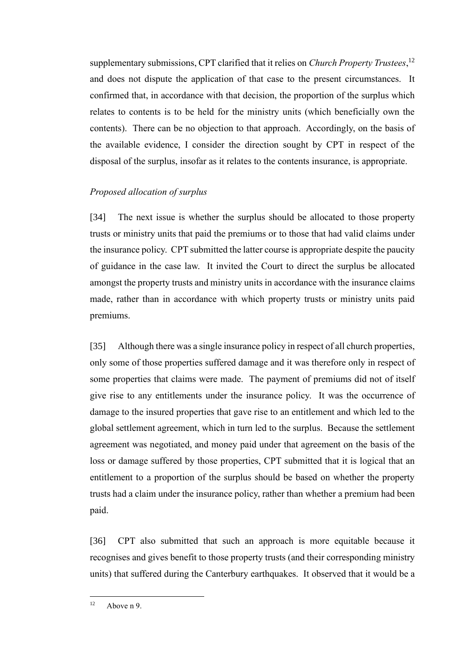supplementary submissions, CPT clarified that it relies on *Church Property Trustees*, 12 and does not dispute the application of that case to the present circumstances. It confirmed that, in accordance with that decision, the proportion of the surplus which relates to contents is to be held for the ministry units (which beneficially own the contents). There can be no objection to that approach. Accordingly, on the basis of the available evidence, I consider the direction sought by CPT in respect of the disposal of the surplus, insofar as it relates to the contents insurance, is appropriate.

# *Proposed allocation of surplus*

[34] The next issue is whether the surplus should be allocated to those property trusts or ministry units that paid the premiums or to those that had valid claims under the insurance policy. CPT submitted the latter course is appropriate despite the paucity of guidance in the case law. It invited the Court to direct the surplus be allocated amongst the property trusts and ministry units in accordance with the insurance claims made, rather than in accordance with which property trusts or ministry units paid premiums.

[35] Although there was a single insurance policy in respect of all church properties, only some of those properties suffered damage and it was therefore only in respect of some properties that claims were made. The payment of premiums did not of itself give rise to any entitlements under the insurance policy. It was the occurrence of damage to the insured properties that gave rise to an entitlement and which led to the global settlement agreement, which in turn led to the surplus. Because the settlement agreement was negotiated, and money paid under that agreement on the basis of the loss or damage suffered by those properties, CPT submitted that it is logical that an entitlement to a proportion of the surplus should be based on whether the property trusts had a claim under the insurance policy, rather than whether a premium had been paid.

[36] CPT also submitted that such an approach is more equitable because it recognises and gives benefit to those property trusts (and their corresponding ministry units) that suffered during the Canterbury earthquakes. It observed that it would be a

 $12$  Above n 9.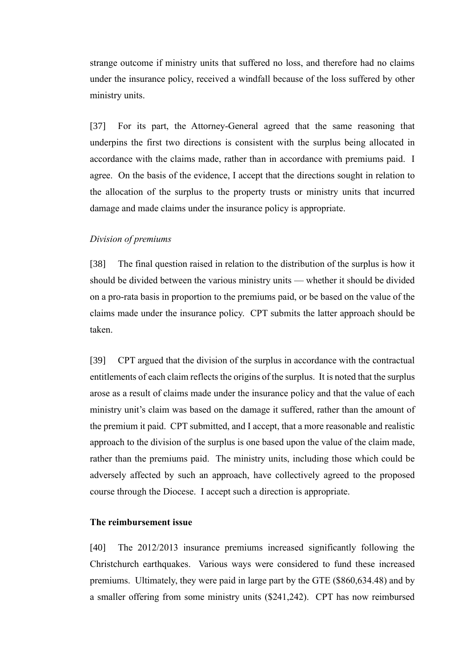strange outcome if ministry units that suffered no loss, and therefore had no claims under the insurance policy, received a windfall because of the loss suffered by other ministry units.

[37] For its part, the Attorney-General agreed that the same reasoning that underpins the first two directions is consistent with the surplus being allocated in accordance with the claims made, rather than in accordance with premiums paid. I agree. On the basis of the evidence, I accept that the directions sought in relation to the allocation of the surplus to the property trusts or ministry units that incurred damage and made claims under the insurance policy is appropriate.

### *Division of premiums*

[38] The final question raised in relation to the distribution of the surplus is how it should be divided between the various ministry units — whether it should be divided on a pro-rata basis in proportion to the premiums paid, or be based on the value of the claims made under the insurance policy. CPT submits the latter approach should be taken.

[39] CPT argued that the division of the surplus in accordance with the contractual entitlements of each claim reflects the origins of the surplus. It is noted that the surplus arose as a result of claims made under the insurance policy and that the value of each ministry unit's claim was based on the damage it suffered, rather than the amount of the premium it paid. CPT submitted, and I accept, that a more reasonable and realistic approach to the division of the surplus is one based upon the value of the claim made, rather than the premiums paid. The ministry units, including those which could be adversely affected by such an approach, have collectively agreed to the proposed course through the Diocese. I accept such a direction is appropriate.

### **The reimbursement issue**

[40] The 2012/2013 insurance premiums increased significantly following the Christchurch earthquakes. Various ways were considered to fund these increased premiums. Ultimately, they were paid in large part by the GTE (\$860,634.48) and by a smaller offering from some ministry units (\$241,242). CPT has now reimbursed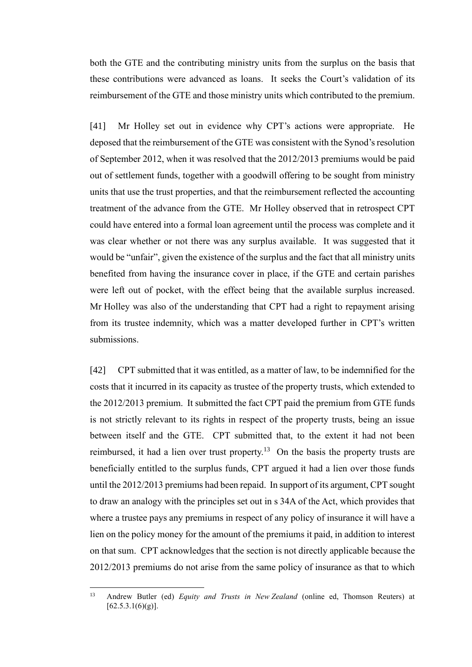both the GTE and the contributing ministry units from the surplus on the basis that these contributions were advanced as loans. It seeks the Court's validation of its reimbursement of the GTE and those ministry units which contributed to the premium.

[41] Mr Holley set out in evidence why CPT's actions were appropriate. He deposed that the reimbursement of the GTE was consistent with the Synod's resolution of September 2012, when it was resolved that the 2012/2013 premiums would be paid out of settlement funds, together with a goodwill offering to be sought from ministry units that use the trust properties, and that the reimbursement reflected the accounting treatment of the advance from the GTE. Mr Holley observed that in retrospect CPT could have entered into a formal loan agreement until the process was complete and it was clear whether or not there was any surplus available. It was suggested that it would be "unfair", given the existence of the surplus and the fact that all ministry units benefited from having the insurance cover in place, if the GTE and certain parishes were left out of pocket, with the effect being that the available surplus increased. Mr Holley was also of the understanding that CPT had a right to repayment arising from its trustee indemnity, which was a matter developed further in CPT's written submissions.

[42] CPT submitted that it was entitled, as a matter of law, to be indemnified for the costs that it incurred in its capacity as trustee of the property trusts, which extended to the 2012/2013 premium. It submitted the fact CPT paid the premium from GTE funds is not strictly relevant to its rights in respect of the property trusts, being an issue between itself and the GTE. CPT submitted that, to the extent it had not been reimbursed, it had a lien over trust property.<sup>13</sup> On the basis the property trusts are beneficially entitled to the surplus funds, CPT argued it had a lien over those funds until the 2012/2013 premiums had been repaid. In support of its argument, CPT sought to draw an analogy with the principles set out in s 34A of the Act, which provides that where a trustee pays any premiums in respect of any policy of insurance it will have a lien on the policy money for the amount of the premiums it paid, in addition to interest on that sum. CPT acknowledges that the section is not directly applicable because the 2012/2013 premiums do not arise from the same policy of insurance as that to which

<sup>13</sup> Andrew Butler (ed) *Equity and Trusts in New Zealand* (online ed, Thomson Reuters) at  $[62.5.3.1(6)(g)].$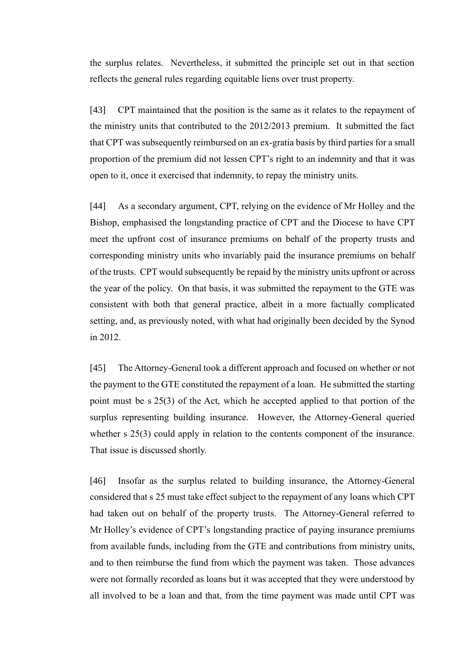the surplus relates. Nevertheless, it submitted the principle set out in that section reflects the general rules regarding equitable liens over trust property.

[43] CPT maintained that the position is the same as it relates to the repayment of the ministry units that contributed to the 2012/2013 premium. It submitted the fact that CPT was subsequently reimbursed on an ex-gratia basis by third parties for a small proportion of the premium did not lessen CPT's right to an indemnity and that it was open to it, once it exercised that indemnity, to repay the ministry units.

[44] As a secondary argument, CPT, relying on the evidence of Mr Holley and the Bishop, emphasised the longstanding practice of CPT and the Diocese to have CPT meet the upfront cost of insurance premiums on behalf of the property trusts and corresponding ministry units who invariably paid the insurance premiums on behalf of the trusts. CPT would subsequently be repaid by the ministry units upfront or across the year of the policy. On that basis, it was submitted the repayment to the GTE was consistent with both that general practice, albeit in a more factually complicated setting, and, as previously noted, with what had originally been decided by the Synod in 2012.

[45] The Attorney-General took a different approach and focused on whether or not the payment to the GTE constituted the repayment of a loan. He submitted the starting point must be s 25(3) of the Act, which he accepted applied to that portion of the surplus representing building insurance. However, the Attorney-General queried whether s 25(3) could apply in relation to the contents component of the insurance. That issue is discussed shortly.

[46] Insofar as the surplus related to building insurance, the Attorney-General considered that s 25 must take effect subject to the repayment of any loans which CPT had taken out on behalf of the property trusts. The Attorney-General referred to Mr Holley's evidence of CPT's longstanding practice of paying insurance premiums from available funds, including from the GTE and contributions from ministry units, and to then reimburse the fund from which the payment was taken. Those advances were not formally recorded as loans but it was accepted that they were understood by all involved to be a loan and that, from the time payment was made until CPT was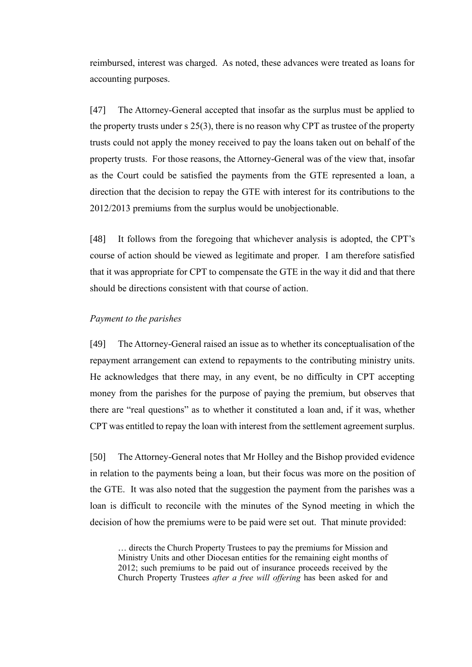reimbursed, interest was charged. As noted, these advances were treated as loans for accounting purposes.

[47] The Attorney-General accepted that insofar as the surplus must be applied to the property trusts under s 25(3), there is no reason why CPT as trustee of the property trusts could not apply the money received to pay the loans taken out on behalf of the property trusts. For those reasons, the Attorney-General was of the view that, insofar as the Court could be satisfied the payments from the GTE represented a loan, a direction that the decision to repay the GTE with interest for its contributions to the 2012/2013 premiums from the surplus would be unobjectionable.

[48] It follows from the foregoing that whichever analysis is adopted, the CPT's course of action should be viewed as legitimate and proper. I am therefore satisfied that it was appropriate for CPT to compensate the GTE in the way it did and that there should be directions consistent with that course of action.

## *Payment to the parishes*

[49] The Attorney-General raised an issue as to whether its conceptualisation of the repayment arrangement can extend to repayments to the contributing ministry units. He acknowledges that there may, in any event, be no difficulty in CPT accepting money from the parishes for the purpose of paying the premium, but observes that there are "real questions" as to whether it constituted a loan and, if it was, whether CPT was entitled to repay the loan with interest from the settlement agreement surplus.

[50] The Attorney-General notes that Mr Holley and the Bishop provided evidence in relation to the payments being a loan, but their focus was more on the position of the GTE. It was also noted that the suggestion the payment from the parishes was a loan is difficult to reconcile with the minutes of the Synod meeting in which the decision of how the premiums were to be paid were set out. That minute provided:

… directs the Church Property Trustees to pay the premiums for Mission and Ministry Units and other Diocesan entities for the remaining eight months of 2012; such premiums to be paid out of insurance proceeds received by the Church Property Trustees *after a free will offering* has been asked for and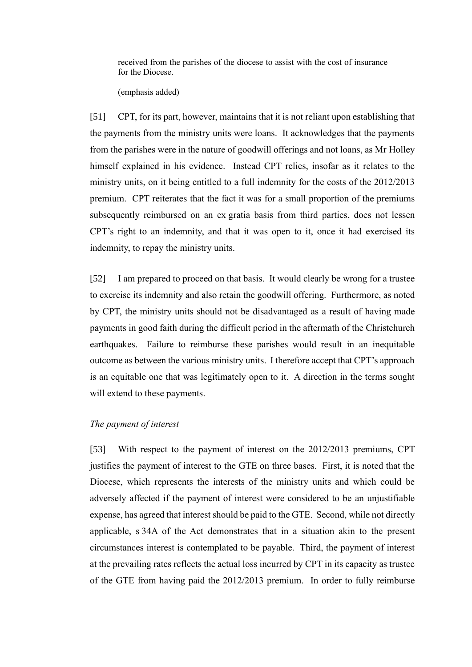received from the parishes of the diocese to assist with the cost of insurance for the Diocese.

(emphasis added)

[51] CPT, for its part, however, maintains that it is not reliant upon establishing that the payments from the ministry units were loans. It acknowledges that the payments from the parishes were in the nature of goodwill offerings and not loans, as Mr Holley himself explained in his evidence. Instead CPT relies, insofar as it relates to the ministry units, on it being entitled to a full indemnity for the costs of the 2012/2013 premium. CPT reiterates that the fact it was for a small proportion of the premiums subsequently reimbursed on an ex gratia basis from third parties, does not lessen CPT's right to an indemnity, and that it was open to it, once it had exercised its indemnity, to repay the ministry units.

[52] I am prepared to proceed on that basis. It would clearly be wrong for a trustee to exercise its indemnity and also retain the goodwill offering. Furthermore, as noted by CPT, the ministry units should not be disadvantaged as a result of having made payments in good faith during the difficult period in the aftermath of the Christchurch earthquakes. Failure to reimburse these parishes would result in an inequitable outcome as between the various ministry units. I therefore accept that CPT's approach is an equitable one that was legitimately open to it. A direction in the terms sought will extend to these payments.

### *The payment of interest*

[53] With respect to the payment of interest on the 2012/2013 premiums, CPT justifies the payment of interest to the GTE on three bases. First, it is noted that the Diocese, which represents the interests of the ministry units and which could be adversely affected if the payment of interest were considered to be an unjustifiable expense, has agreed that interest should be paid to the GTE. Second, while not directly applicable, s 34A of the Act demonstrates that in a situation akin to the present circumstances interest is contemplated to be payable. Third, the payment of interest at the prevailing rates reflects the actual loss incurred by CPT in its capacity as trustee of the GTE from having paid the 2012/2013 premium. In order to fully reimburse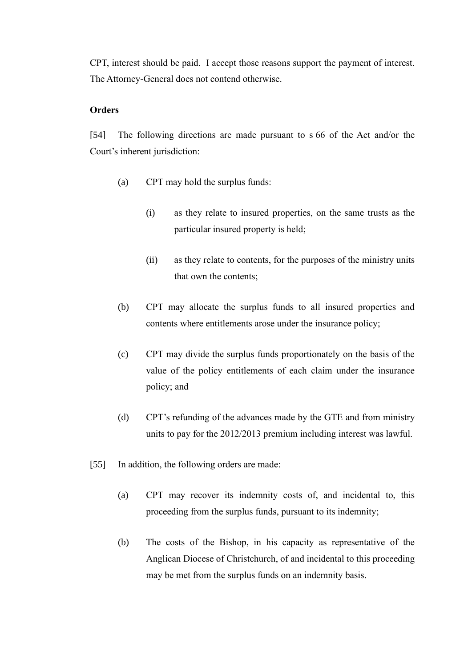CPT, interest should be paid. I accept those reasons support the payment of interest. The Attorney-General does not contend otherwise.

# **Orders**

[54] The following directions are made pursuant to s 66 of the Act and/or the Court's inherent jurisdiction:

- (a) CPT may hold the surplus funds:
	- (i) as they relate to insured properties, on the same trusts as the particular insured property is held;
	- (ii) as they relate to contents, for the purposes of the ministry units that own the contents;
- (b) CPT may allocate the surplus funds to all insured properties and contents where entitlements arose under the insurance policy;
- (c) CPT may divide the surplus funds proportionately on the basis of the value of the policy entitlements of each claim under the insurance policy; and
- (d) CPT's refunding of the advances made by the GTE and from ministry units to pay for the 2012/2013 premium including interest was lawful.
- [55] In addition, the following orders are made:
	- (a) CPT may recover its indemnity costs of, and incidental to, this proceeding from the surplus funds, pursuant to its indemnity;
	- (b) The costs of the Bishop, in his capacity as representative of the Anglican Diocese of Christchurch, of and incidental to this proceeding may be met from the surplus funds on an indemnity basis.